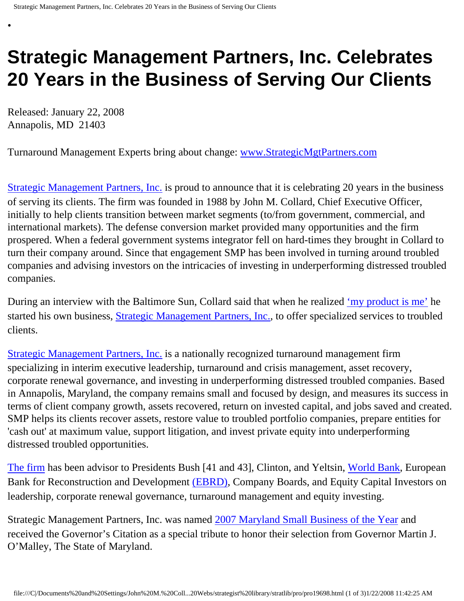## **Strategic Management Partners, Inc. Celebrates 20 Years in the Business of Serving Our Clients**

Released: January 22, 2008 Annapolis, MD 21403

•

Turnaround Management Experts bring about change: [www.StrategicMgtPartners.com](http://www.strategicmgtpartners.com/)

[Strategic Management Partners, Inc.](http://www.strategicmanagementpartnersinc.com/) is proud to announce that it is celebrating 20 years in the business of serving its clients. The firm was founded in 1988 by John M. Collard, Chief Executive Officer, initially to help clients transition between market segments (to/from government, commercial, and international markets). The defense conversion market provided many opportunities and the firm prospered. When a federal government systems integrator fell on hard-times they brought in Collard to turn their company around. Since that engagement SMP has been involved in turning around troubled companies and advising investors on the intricacies of investing in underperforming distressed troubled companies.

During an interview with the Baltimore Sun, Collard said that when he realized ['my product is me'](http://members.aol.com/Stratlib3/bsjc.html) he started his own business, [Strategic Management Partners, Inc.,](http://members.aol.com/Strategist/home.html) to offer specialized services to troubled clients.

[Strategic Management Partners, Inc.](http://www.strategicmgtpartners.com/) is a nationally recognized turnaround management firm specializing in interim executive leadership, turnaround and crisis management, asset recovery, corporate renewal governance, and investing in underperforming distressed troubled companies. Based in Annapolis, Maryland, the company remains small and focused by design, and measures its success in terms of client company growth, assets recovered, return on invested capital, and jobs saved and created. SMP helps its clients recover assets, restore value to troubled portfolio companies, prepare entities for 'cash out' at maximum value, support litigation, and invest private equity into underperforming distressed troubled opportunities.

[The firm](http://www.turnaroundmanagement.us.com/) has been advisor to Presidents Bush [41 and 43], Clinton, and Yeltsin, [World Bank,](http://www.worldbank.org/) European Bank for Reconstruction and Development [\(EBRD\)](http://www.ebrd.com/about/index.htm), Company Boards, and Equity Capital Investors on leadership, corporate renewal governance, turnaround management and equity investing.

Strategic Management Partners, Inc. was named [2007 Maryland Small Business of the Year](http://members.aol.com/Stratlib3/mccsbyr.html) and received the Governor's Citation as a special tribute to honor their selection from Governor Martin J. O'Malley, The State of Maryland.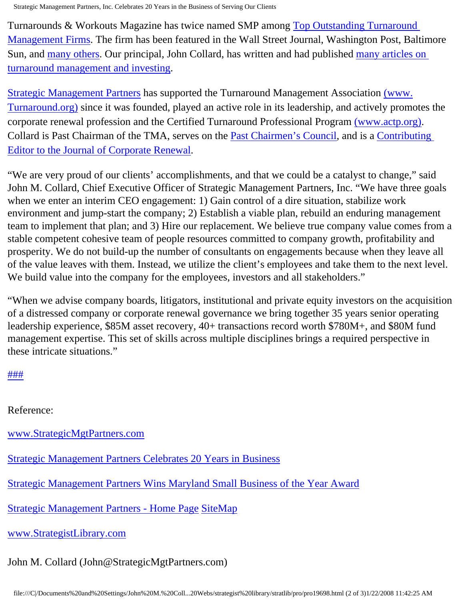Strategic Management Partners, Inc. Celebrates 20 Years in the Business of Serving Our Clients

Turnarounds & Workouts Magazine has twice named SMP among [Top Outstanding Turnaround](http://members.aol.com/Strategist/twtop12.html)  [Management Firms](http://members.aol.com/Strategist/twtop12.html). The firm has been featured in the Wall Street Journal, Washington Post, Baltimore Sun, and [many others](http://members.aol.com/Strategist/press.html). Our principal, John Collard, has written and had published [many articles on](http://members.aol.com/Stratlib3/libindx.html)  [turnaround management and investing](http://members.aol.com/Stratlib3/libindx.html).

[Strategic Management Partners](http://members.aol.com/Strategist/sitemap.html) has supported the Turnaround Management Association [\(www.](http://www.turnaround.org/) [Turnaround.org\)](http://www.turnaround.org/) since it was founded, played an active role in its leadership, and actively promotes the corporate renewal profession and the Certified Turnaround Professional Program [\(www.actp.org\)](http://www.actp.org/). Collard is Past Chairman of the TMA, serves on the [Past Chairmen's Council](http://members.aol.com/Strategist/pastchair.html), and is a [Contributing](http://members.aol.com/Stratlib3/jcrmining.html) [Editor to the Journal of Corporate Renewal.](http://members.aol.com/Stratlib3/jcrmining.html)

"We are very proud of our clients' accomplishments, and that we could be a catalyst to change," said John M. Collard, Chief Executive Officer of Strategic Management Partners, Inc. "We have three goals when we enter an interim CEO engagement: 1) Gain control of a dire situation, stabilize work environment and jump-start the company; 2) Establish a viable plan, rebuild an enduring management team to implement that plan; and 3) Hire our replacement. We believe true company value comes from a stable competent cohesive team of people resources committed to company growth, profitability and prosperity. We do not build-up the number of consultants on engagements because when they leave all of the value leaves with them. Instead, we utilize the client's employees and take them to the next level. We build value into the company for the employees, investors and all stakeholders."

"When we advise company boards, litigators, institutional and private equity investors on the acquisition of a distressed company or corporate renewal governance we bring together 35 years senior operating leadership experience, \$85M asset recovery, 40+ transactions record worth \$780M+, and \$80M fund management expertise. This set of skills across multiple disciplines brings a required perspective in these intricate situations."

## [#](http://members.aol.com/Strategist/home.html)[#](http://members.aol.com/Strategist/sitemap.html)[#](http://members.aol.com/Strategist/urllist.txt)

Reference:

[www.StrategicMgtPartners.com](http://www.strategicmgtpartners.com/)

[Strategic Management Partners Celebrates 20 Years in Business](http://members.aol.com/Strategist/smp20yr.html)

[Strategic Management Partners Wins Maryland Small Business of the Year Award](http://members.aol.com/Stratlib3/mccsbyr.html)

[Strategic Management Partners - Home Page](http://members.aol.com/Strategist/home.html) [Site](http://members.aol.com/Stratlib/sitemap.html)[Map](http://members.aol.com/Stratlib/urllist.txt)

[www.StrategistLibrary.com](http://www.strategistlibrary.com/)

## John M. Collard (John@StrategicMgtPartners.com)